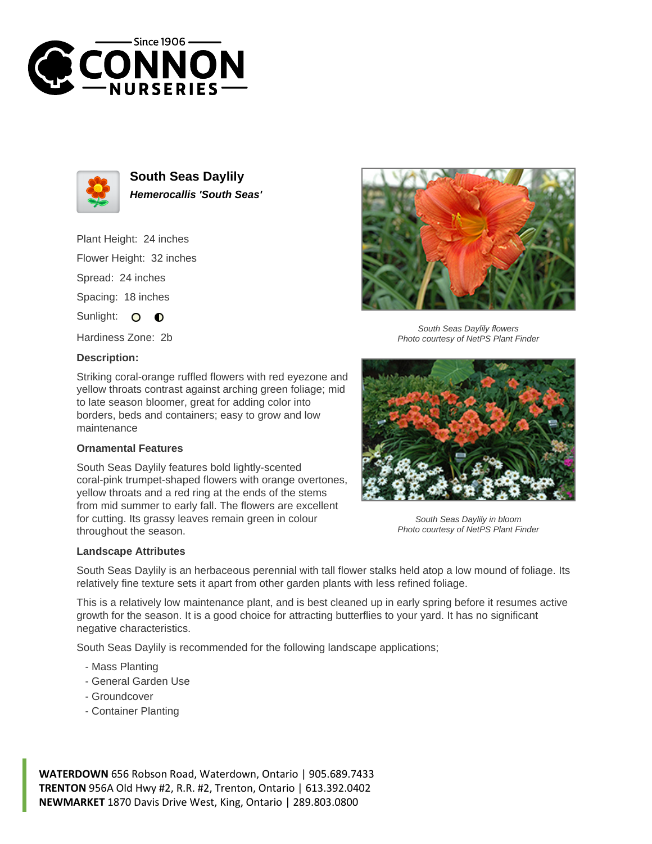



**South Seas Daylily Hemerocallis 'South Seas'**

Plant Height: 24 inches Flower Height: 32 inches

Spread: 24 inches

Spacing: 18 inches

Sunlight: O  $\bullet$ 

Hardiness Zone: 2b

## **Description:**

Striking coral-orange ruffled flowers with red eyezone and yellow throats contrast against arching green foliage; mid to late season bloomer, great for adding color into borders, beds and containers; easy to grow and low maintenance

## **Ornamental Features**

South Seas Daylily features bold lightly-scented coral-pink trumpet-shaped flowers with orange overtones, yellow throats and a red ring at the ends of the stems from mid summer to early fall. The flowers are excellent for cutting. Its grassy leaves remain green in colour throughout the season.



South Seas Daylily flowers Photo courtesy of NetPS Plant Finder



South Seas Daylily in bloom Photo courtesy of NetPS Plant Finder

## **Landscape Attributes**

South Seas Daylily is an herbaceous perennial with tall flower stalks held atop a low mound of foliage. Its relatively fine texture sets it apart from other garden plants with less refined foliage.

This is a relatively low maintenance plant, and is best cleaned up in early spring before it resumes active growth for the season. It is a good choice for attracting butterflies to your yard. It has no significant negative characteristics.

South Seas Daylily is recommended for the following landscape applications;

- Mass Planting
- General Garden Use
- Groundcover
- Container Planting

**WATERDOWN** 656 Robson Road, Waterdown, Ontario | 905.689.7433 **TRENTON** 956A Old Hwy #2, R.R. #2, Trenton, Ontario | 613.392.0402 **NEWMARKET** 1870 Davis Drive West, King, Ontario | 289.803.0800